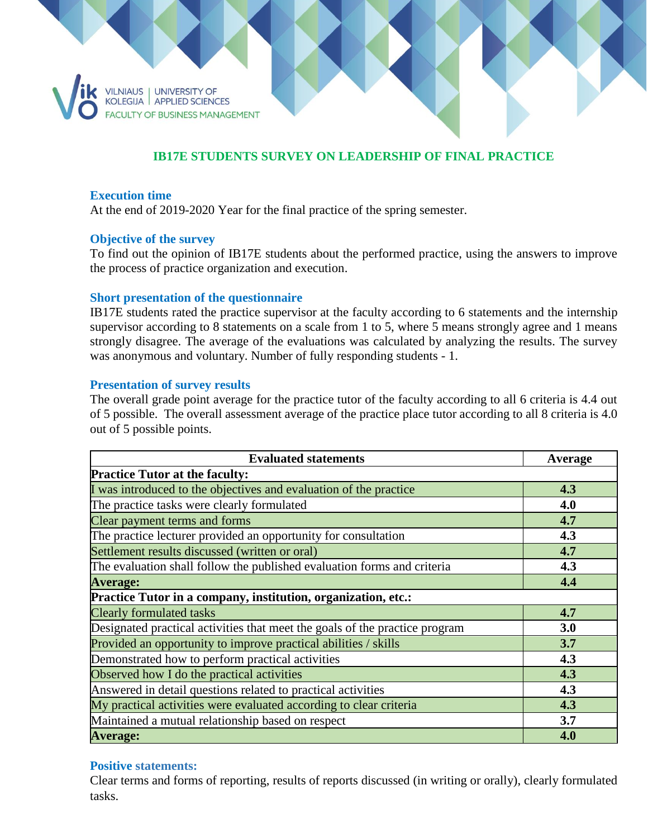

# **IB17E STUDENTS SURVEY ON LEADERSHIP OF FINAL PRACTICE**

#### **Execution time**

At the end of 2019-2020 Year for the final practice of the spring semester.

### **Objective of the survey**

To find out the opinion of IB17E students about the performed practice, using the answers to improve the process of practice organization and execution.

#### **Short presentation of the questionnaire**

IB17E students rated the practice supervisor at the faculty according to 6 statements and the internship supervisor according to 8 statements on a scale from 1 to 5, where 5 means strongly agree and 1 means strongly disagree. The average of the evaluations was calculated by analyzing the results. The survey was anonymous and voluntary. Number of fully responding students - 1.

#### **Presentation of survey results**

The overall grade point average for the practice tutor of the faculty according to all 6 criteria is 4.4 out of 5 possible. The overall assessment average of the practice place tutor according to all 8 criteria is 4.0 out of 5 possible points.

| <b>Evaluated statements</b>                                                 | Average |
|-----------------------------------------------------------------------------|---------|
| <b>Practice Tutor at the faculty:</b>                                       |         |
| I was introduced to the objectives and evaluation of the practice           | 4.3     |
| The practice tasks were clearly formulated                                  | 4.0     |
| Clear payment terms and forms                                               | 4.7     |
| The practice lecturer provided an opportunity for consultation              | 4.3     |
| Settlement results discussed (written or oral)                              | 4.7     |
| The evaluation shall follow the published evaluation forms and criteria     | 4.3     |
| <b>Average:</b>                                                             | 4.4     |
| Practice Tutor in a company, institution, organization, etc.:               |         |
| <b>Clearly formulated tasks</b>                                             | 4.7     |
| Designated practical activities that meet the goals of the practice program | 3.0     |
| Provided an opportunity to improve practical abilities / skills             | 3.7     |
| Demonstrated how to perform practical activities                            | 4.3     |
| Observed how I do the practical activities                                  | 4.3     |
| Answered in detail questions related to practical activities                | 4.3     |
| My practical activities were evaluated according to clear criteria          | 4.3     |
| Maintained a mutual relationship based on respect                           | 3.7     |
| <b>Average:</b>                                                             | 4.0     |

#### **Positive statements:**

Clear terms and forms of reporting, results of reports discussed (in writing or orally), clearly formulated tasks.